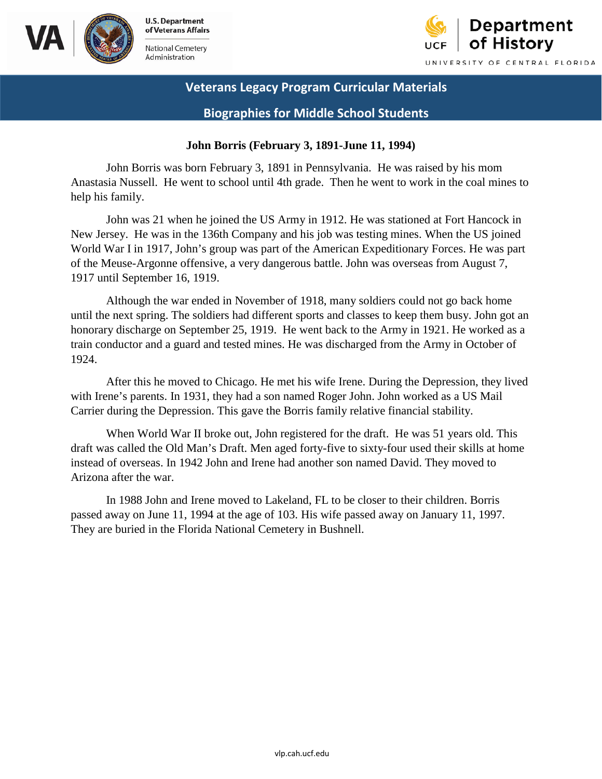



 **Biographies for Middle School Students** 

### **John Borris (February 3, 1891-June 11, 1994)**

John Borris was born February 3, 1891 in Pennsylvania. He was raised by his mom Anastasia Nussell. He went to school until 4th grade. Then he went to work in the coal mines to help his family.

John was 21 when he joined the US Army in 1912. He was stationed at Fort Hancock in New Jersey. He was in the 136th Company and his job was testing mines. When the US joined World War I in 1917, John's group was part of the American Expeditionary Forces. He was part of the Meuse-Argonne offensive, a very dangerous battle. John was overseas from August 7, 1917 until September 16, 1919.

 train conductor and a guard and tested mines. He was discharged from the Army in October of Although the war ended in November of 1918, many soldiers could not go back home until the next spring. The soldiers had different sports and classes to keep them busy. John got an honorary discharge on September 25, 1919. He went back to the Army in 1921. He worked as a 1924.

After this he moved to Chicago. He met his wife Irene. During the Depression, they lived with Irene's parents. In 1931, they had a son named Roger John. John worked as a US Mail Carrier during the Depression. This gave the Borris family relative financial stability.

When World War II broke out, John registered for the draft. He was 51 years old. This draft was called the Old Man's Draft. Men aged forty-five to sixty-four used their skills at home instead of overseas. In 1942 John and Irene had another son named David. They moved to Arizona after the war.

In 1988 John and Irene moved to Lakeland, FL to be closer to their children. Borris passed away on June 11, 1994 at the age of 103. His wife passed away on January 11, 1997. They are buried in the Florida National Cemetery in Bushnell.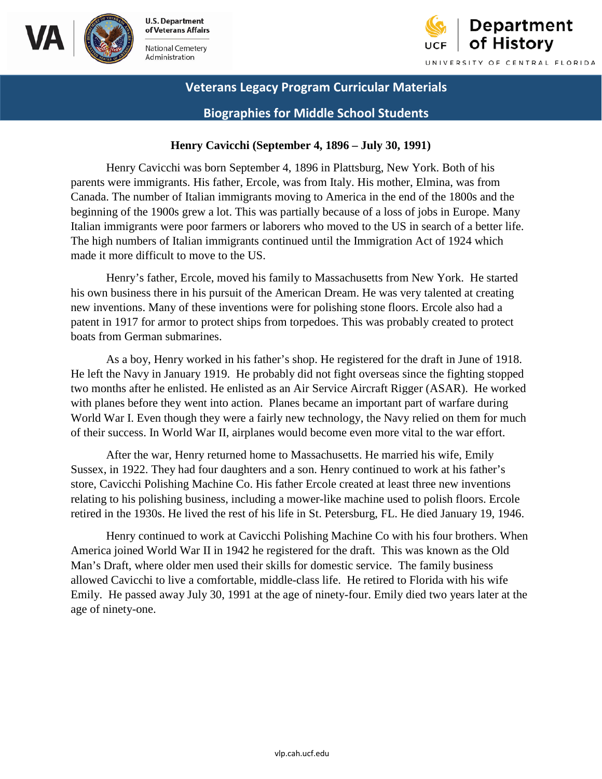



# **Biographies for Middle School Students**

# **Henry Cavicchi (September 4, 1896 – July 30, 1991)**

 parents were immigrants. His father, Ercole, was from Italy. His mother, Elmina, was from Henry Cavicchi was born September 4, 1896 in Plattsburg, New York. Both of his Canada. The number of Italian immigrants moving to America in the end of the 1800s and the beginning of the 1900s grew a lot. This was partially because of a loss of jobs in Europe. Many Italian immigrants were poor farmers or laborers who moved to the US in search of a better life. The high numbers of Italian immigrants continued until the Immigration Act of 1924 which made it more difficult to move to the US.

Henry's father, Ercole, moved his family to Massachusetts from New York. He started his own business there in his pursuit of the American Dream. He was very talented at creating new inventions. Many of these inventions were for polishing stone floors. Ercole also had a patent in 1917 for armor to protect ships from torpedoes. This was probably created to protect boats from German submarines.

As a boy, Henry worked in his father's shop. He registered for the draft in June of 1918. He left the Navy in January 1919. He probably did not fight overseas since the fighting stopped two months after he enlisted. He enlisted as an Air Service Aircraft Rigger (ASAR). He worked with planes before they went into action. Planes became an important part of warfare during World War I. Even though they were a fairly new technology, the Navy relied on them for much of their success. In World War II, airplanes would become even more vital to the war effort.

After the war, Henry returned home to Massachusetts. He married his wife, Emily Sussex, in 1922. They had four daughters and a son. Henry continued to work at his father's store, Cavicchi Polishing Machine Co. His father Ercole created at least three new inventions relating to his polishing business, including a mower-like machine used to polish floors. Ercole retired in the 1930s. He lived the rest of his life in St. Petersburg, FL. He died January 19, 1946.

Henry continued to work at Cavicchi Polishing Machine Co with his four brothers. When America joined World War II in 1942 he registered for the draft. This was known as the Old Man's Draft, where older men used their skills for domestic service. The family business allowed Cavicchi to live a comfortable, middle-class life. He retired to Florida with his wife Emily. He passed away July 30, 1991 at the age of ninety-four. Emily died two years later at the age of ninety-one.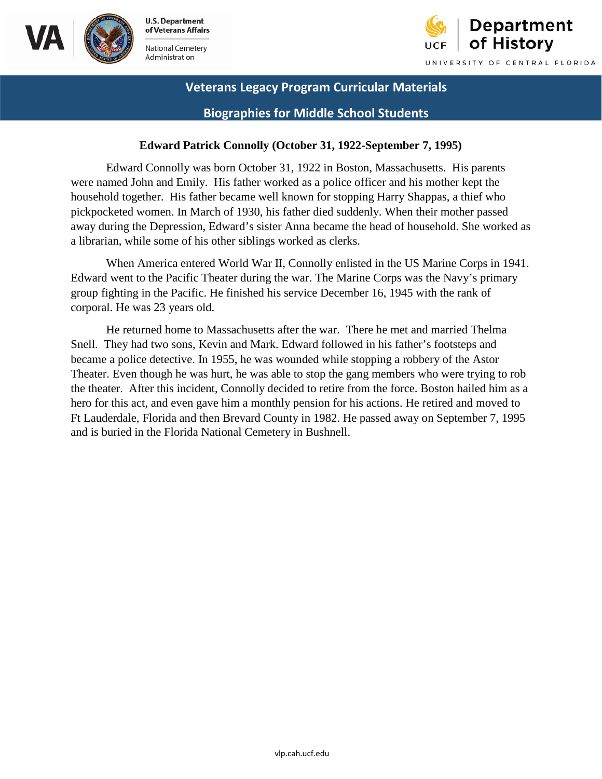



 **Biographies for Middle School Students** 

### **Edward Patrick Connolly (October 31, 1922-September 7, 1995)**

Edward Connolly was born October 31, 1922 in Boston, Massachusetts. His parents were named John and Emily. His father worked as a police officer and his mother kept the household together. His father became well known for stopping Harry Shappas, a thief who pickpocketed women. In March of 1930, his father died suddenly. When their mother passed away during the Depression, Edward's sister Anna became the head of household. She worked as a librarian, while some of his other siblings worked as clerks.

 When America entered World War II, Connolly enlisted in the US Marine Corps in 1941. Edward went to the Pacific Theater during the war. The Marine Corps was the Navy's primary group fighting in the Pacific. He finished his service December 16, 1945 with the rank of corporal. He was 23 years old.

 He returned home to Massachusetts after the war. There he met and married Thelma Snell. They had two sons, Kevin and Mark. Edward followed in his father's footsteps and became a police detective. In 1955, he was wounded while stopping a robbery of the Astor Theater. Even though he was hurt, he was able to stop the gang members who were trying to rob the theater. After this incident, Connolly decided to retire from the force. Boston hailed him as a hero for this act, and even gave him a monthly pension for his actions. He retired and moved to Ft Lauderdale, Florida and then Brevard County in 1982. He passed away on September 7, 1995 and is buried in the Florida National Cemetery in Bushnell.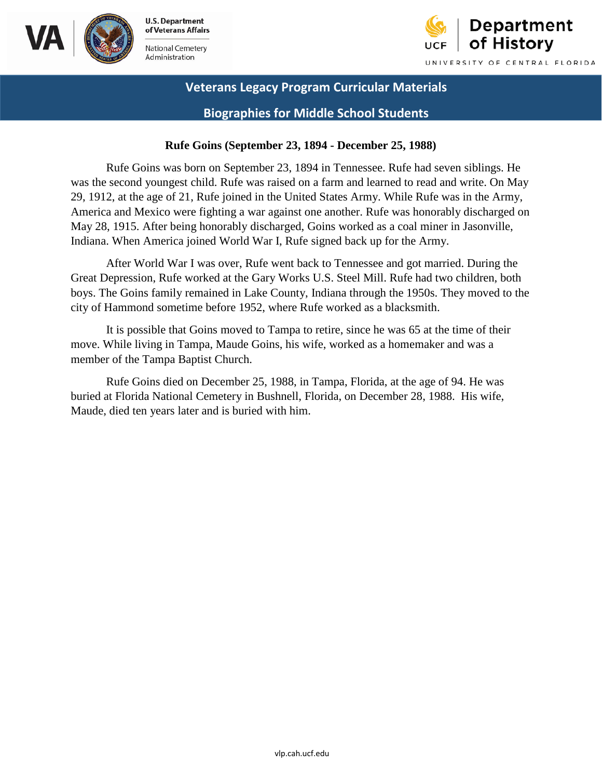



 **Biographies for Middle School Students** 

### **Rufe Goins (September 23, 1894 - December 25, 1988)**

 America and Mexico were fighting a war against one another. Rufe was honorably discharged on May 28, 1915. After being honorably discharged, Goins worked as a coal miner in Jasonville, Rufe Goins was born on September 23, 1894 in Tennessee. Rufe had seven siblings. He was the second youngest child. Rufe was raised on a farm and learned to read and write. On May 29, 1912, at the age of 21, Rufe joined in the United States Army. While Rufe was in the Army, Indiana. When America joined World War I, Rufe signed back up for the Army.

After World War I was over, Rufe went back to Tennessee and got married. During the Great Depression, Rufe worked at the Gary Works U.S. Steel Mill. Rufe had two children, both boys. The Goins family remained in Lake County, Indiana through the 1950s. They moved to the city of Hammond sometime before 1952, where Rufe worked as a blacksmith.

It is possible that Goins moved to Tampa to retire, since he was 65 at the time of their move. While living in Tampa, Maude Goins, his wife, worked as a homemaker and was a member of the Tampa Baptist Church.

Rufe Goins died on December 25, 1988, in Tampa, Florida, at the age of 94. He was buried at Florida National Cemetery in Bushnell, Florida, on December 28, 1988. His wife, Maude, died ten years later and is buried with him.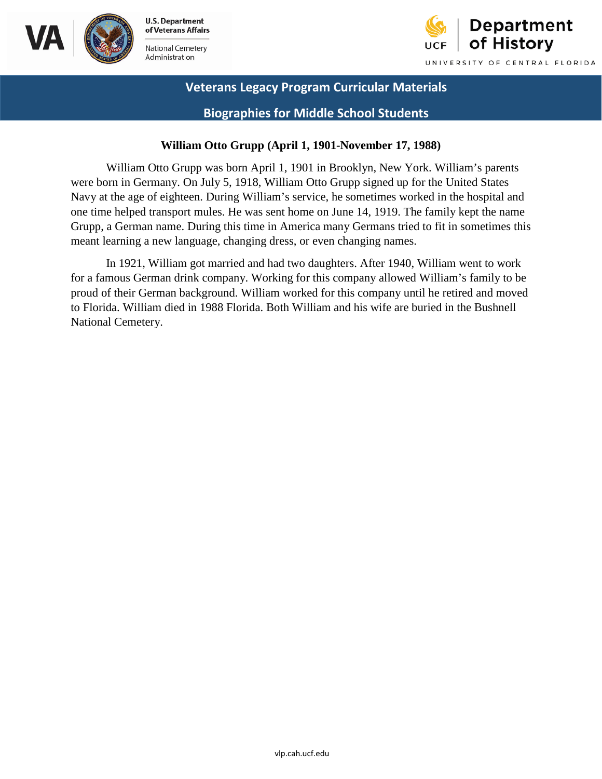



 **Biographies for Middle School Students** 

# **William Otto Grupp (April 1, 1901-November 17, 1988)**

William Otto Grupp was born April 1, 1901 in Brooklyn, New York. William's parents were born in Germany. On July 5, 1918, William Otto Grupp signed up for the United States Navy at the age of eighteen. During William's service, he sometimes worked in the hospital and one time helped transport mules. He was sent home on June 14, 1919. The family kept the name Grupp, a German name. During this time in America many Germans tried to fit in sometimes this meant learning a new language, changing dress, or even changing names.

In 1921, William got married and had two daughters. After 1940, William went to work for a famous German drink company. Working for this company allowed William's family to be proud of their German background. William worked for this company until he retired and moved to Florida. William died in 1988 Florida. Both William and his wife are buried in the Bushnell National Cemetery.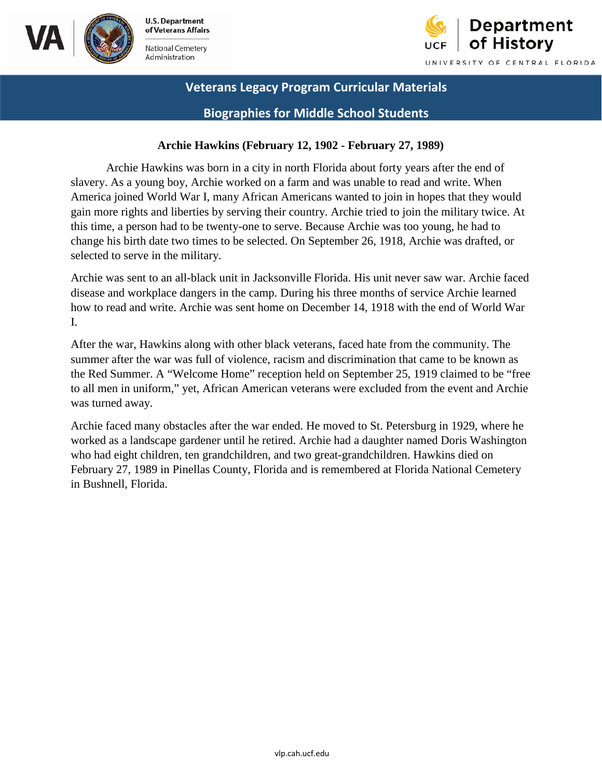





 **Biographies for Middle School Students** 

# **Archie Hawkins (February 12, 1902 - February 27, 1989)**

Archie Hawkins was born in a city in north Florida about forty years after the end of slavery. As a young boy, Archie worked on a farm and was unable to read and write. When America joined World War I, many African Americans wanted to join in hopes that they would gain more rights and liberties by serving their country. Archie tried to join the military twice. At this time, a person had to be twenty-one to serve. Because Archie was too young, he had to change his birth date two times to be selected. On September 26, 1918, Archie was drafted, or selected to serve in the military.

Archie was sent to an all-black unit in Jacksonville Florida. His unit never saw war. Archie faced disease and workplace dangers in the camp. During his three months of service Archie learned how to read and write. Archie was sent home on December 14, 1918 with the end of World War I.

After the war, Hawkins along with other black veterans, faced hate from the community. The summer after the war was full of violence, racism and discrimination that came to be known as the Red Summer. A "Welcome Home" reception held on September 25, 1919 claimed to be "free to all men in uniform," yet, African American veterans were excluded from the event and Archie was turned away.

 worked as a landscape gardener until he retired. Archie had a daughter named Doris Washington February 27, 1989 in Pinellas County, Florida and is remembered at Florida National Cemetery Archie faced many obstacles after the war ended. He moved to St. Petersburg in 1929, where he who had eight children, ten grandchildren, and two great-grandchildren. Hawkins died on in Bushnell, Florida.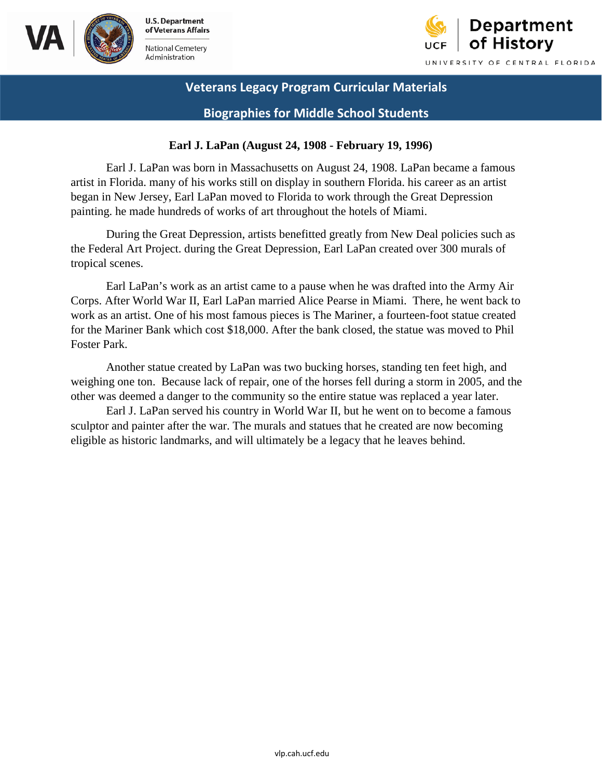



 **Biographies for Middle School Students** 

### **Earl J. LaPan (August 24, 1908 - February 19, 1996)**

Earl J. LaPan was born in Massachusetts on August 24, 1908. LaPan became a famous artist in Florida. many of his works still on display in southern Florida. his career as an artist began in New Jersey, Earl LaPan moved to Florida to work through the Great Depression painting. he made hundreds of works of art throughout the hotels of Miami.

During the Great Depression, artists benefitted greatly from New Deal policies such as the Federal Art Project. during the Great Depression, Earl LaPan created over 300 murals of tropical scenes.

 Earl LaPan's work as an artist came to a pause when he was drafted into the Army Air Corps. After World War II, Earl LaPan married Alice Pearse in Miami. There, he went back to for the Mariner Bank which cost \$18,000. After the bank closed, the statue was moved to Phil work as an artist. One of his most famous pieces is The Mariner, a fourteen-foot statue created Foster Park.

Another statue created by LaPan was two bucking horses, standing ten feet high, and weighing one ton. Because lack of repair, one of the horses fell during a storm in 2005, and the other was deemed a danger to the community so the entire statue was replaced a year later.

 eligible as historic landmarks, and will ultimately be a legacy that he leaves behind. Earl J. LaPan served his country in World War II, but he went on to become a famous sculptor and painter after the war. The murals and statues that he created are now becoming